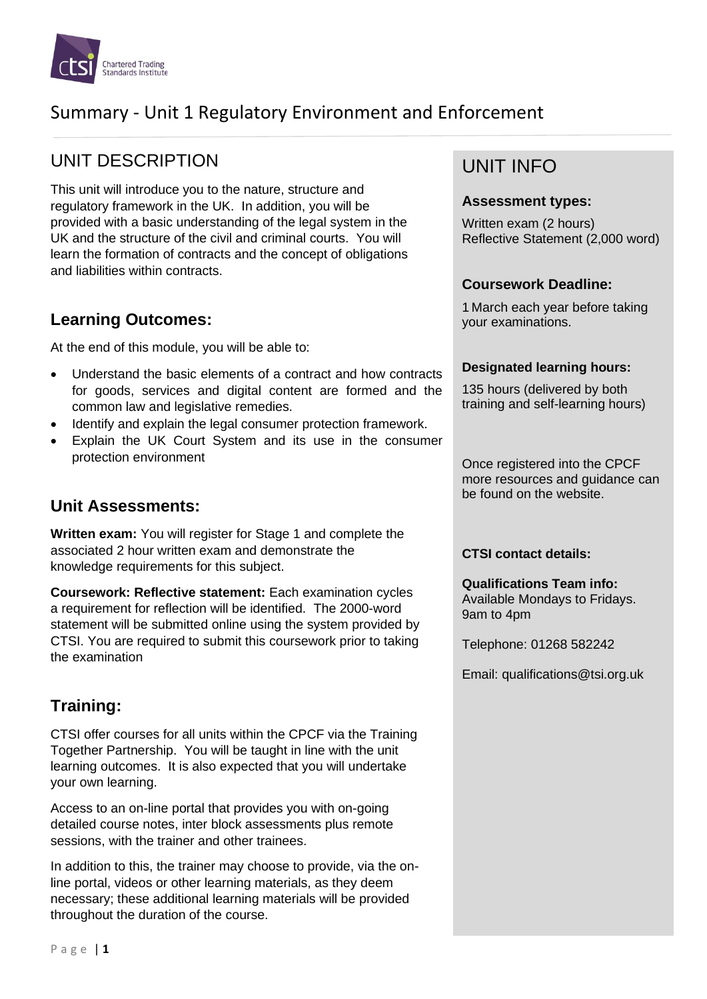

# Summary - Unit 1 Regulatory Environment and Enforcement

# UNIT DESCRIPTION

This unit will introduce you to the nature, structure and regulatory framework in the UK. In addition, you will be provided with a basic understanding of the legal system in the UK and the structure of the civil and criminal courts. You will learn the formation of contracts and the concept of obligations and liabilities within contracts.

## **Learning Outcomes:**

At the end of this module, you will be able to:

- Understand the basic elements of a contract and how contracts for goods, services and digital content are formed and the common law and legislative remedies.
- Identify and explain the legal consumer protection framework.
- Explain the UK Court System and its use in the consumer protection environment

## **Unit Assessments:**

**Written exam:** You will register for Stage 1 and complete the associated 2 hour written exam and demonstrate the knowledge requirements for this subject.

**Coursework: Reflective statement:** Each examination cycles a requirement for reflection will be identified. The 2000-word statement will be submitted online using the system provided by CTSI. You are required to submit this coursework prior to taking the examination

## **Training:**

CTSI offer courses for all units within the CPCF via the Training Together Partnership. You will be taught in line with the unit learning outcomes. It is also expected that you will undertake your own learning.

Access to an on-line portal that provides you with on-going detailed course notes, inter block assessments plus remote sessions, with the trainer and other trainees.

In addition to this, the trainer may choose to provide, via the online portal, videos or other learning materials, as they deem necessary; these additional learning materials will be provided throughout the duration of the course.

# UNIT INFO

#### **Assessment types:**

Written exam (2 hours) Reflective Statement (2,000 word)

#### **Coursework Deadline:**

1 March each year before taking your examinations.

#### **Designated learning hours:**

135 hours (delivered by both training and self-learning hours)

Once registered into the CPCF more resources and guidance can be found on the website.

#### **CTSI contact details:**

#### **Qualifications Team info:**

Available Mondays to Fridays. 9am to 4pm

Telephone: 01268 582242

Email: qualifications@tsi.org.uk